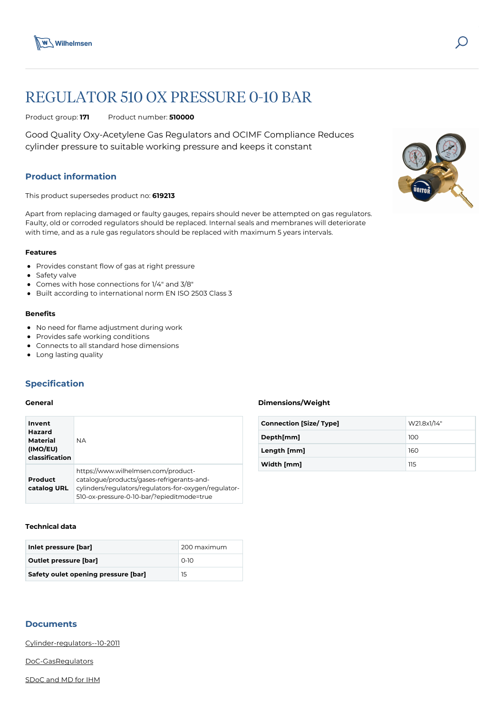

# REGULATOR 510 OX PRESSURE 0-10 BAR

Product group: **171** Product number: **510000**

Good Quality Oxy-Acetylene Gas Regulators and OCIMF Compliance Reduces cylinder pressure to suitable working pressure and keeps it constant

# **Product information**

This product supersedes product no: **619213**

Apart from replacing damaged or faulty gauges, repairs should never be attempted on gas regulators. Faulty, old or corroded regulators should be replaced. Internal seals and membranes will deteriorate with time, and as a rule gas regulators should be replaced with maximum 5 years intervals.

#### **Features**

- Provides constant flow of gas at right pressure
- Safety valve
- Comes with hose connections for 1/4" and 3/8"
- Built according to international norm EN ISO 2503 Class 3

#### **Benefits**

- No need for flame adjustment during work
- Provides safe working conditions
- Connects to all standard hose dimensions
- Long lasting quality

# **Specification**

#### **General**

| Invent<br>Hazard<br><b>Material</b><br>(IMO/EU)<br>classification | <b>NA</b>                                                                                                                                                                                |
|-------------------------------------------------------------------|------------------------------------------------------------------------------------------------------------------------------------------------------------------------------------------|
| Product<br>catalog URL                                            | https://www.wilhelmsen.com/product-<br>catalogue/products/gases-refrigerants-and-<br>cylinders/regulators/regulators-for-oxygen/regulator-<br>510-ox-pressure-0-10-bar/?epieditmode=true |

#### **Technical data**

| Inlet pressure [bar]                | 200 maximum |
|-------------------------------------|-------------|
| <b>Outlet pressure [bar]</b>        | $O-1O$      |
| Safety oulet opening pressure [bar] | 15          |

# **Documents**

[Cylinder-regulators--10-2011](https://media.bluestonepim.com/e4deb258-8122-4fdf-9d12-b42f3e0e812d/6b427509-cfe6-4311-ad1a-aa5652ff3d41/veZC2MiqU2tvx5RqlHCBtAAug/QWbPVpCsASUNMsEmEsU1cyOzD.pdf)

[DoC-GasRegulators](https://media.bluestonepim.com/e4deb258-8122-4fdf-9d12-b42f3e0e812d/dbce98e8-7594-4637-9d89-10fd636015f0/fKTKi563NUchnlIaDEA6ULU94/YhZd9suoBFV8DVzJYLQ6vjruW.pdf)

[SDoC and MD for IHM](https://media.bluestonepim.com/e4deb258-8122-4fdf-9d12-b42f3e0e812d/97d57016-d288-45f6-9b10-70db6257782e/DrUtBUnvtvnRBnLn3mLcDc9Hv/LtQgvb88yl8icm6xTeNYqtiQP.pdf)



#### **Dimensions/Weight**

| <b>Connection [Size/ Type]</b> | W21.8x1/14" |
|--------------------------------|-------------|
| Depth[mm]                      | 100         |
| Length [mm]                    | 160         |
| Width [mm]                     | 115         |